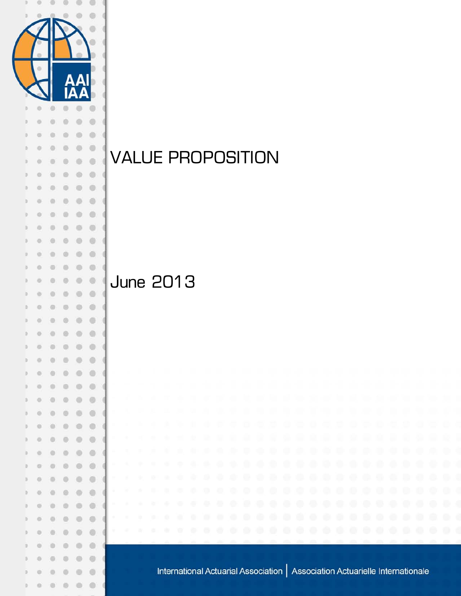

# VALUE PROPOSITION

## June 2013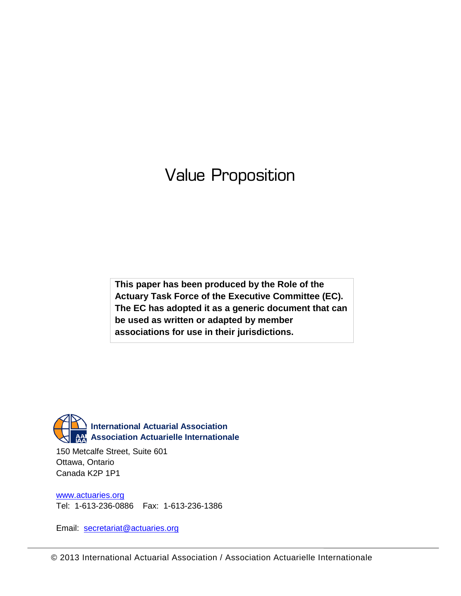## Value Proposition

**This paper has been produced by the Role of the Actuary Task Force of the Executive Committee (EC). The EC has adopted it as a generic document that can be used as written or adapted by member associations for use in their jurisdictions.**



150 Metcalfe Street, Suite 601 Ottawa, Ontario Canada K2P 1P1

www.actuaries.org Tel: 1-613-236-0886 Fax: 1-613-236-1386

Email: secretariat@actuaries.org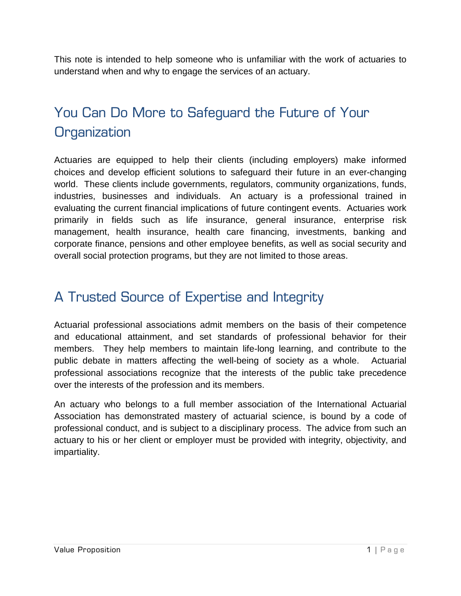This note is intended to help someone who is unfamiliar with the work of actuaries to understand when and why to engage the services of an actuary.

### You Can Do More to Safeguard the Future of Your **Organization**

Actuaries are equipped to help their clients (including employers) make informed choices and develop efficient solutions to safeguard their future in an ever-changing world. These clients include governments, regulators, community organizations, funds, industries, businesses and individuals. An actuary is a professional trained in evaluating the current financial implications of future contingent events. Actuaries work primarily in fields such as life insurance, general insurance, enterprise risk management, health insurance, health care financing, investments, banking and corporate finance, pensions and other employee benefits, as well as social security and overall social protection programs, but they are not limited to those areas.

#### A Trusted Source of Expertise and Integrity

Actuarial professional associations admit members on the basis of their competence and educational attainment, and set standards of professional behavior for their members. They help members to maintain life-long learning, and contribute to the public debate in matters affecting the well-being of society as a whole. Actuarial professional associations recognize that the interests of the public take precedence over the interests of the profession and its members.

An actuary who belongs to a full member association of the International Actuarial Association has demonstrated mastery of actuarial science, is bound by a code of professional conduct, and is subject to a disciplinary process. The advice from such an actuary to his or her client or employer must be provided with integrity, objectivity, and impartiality.